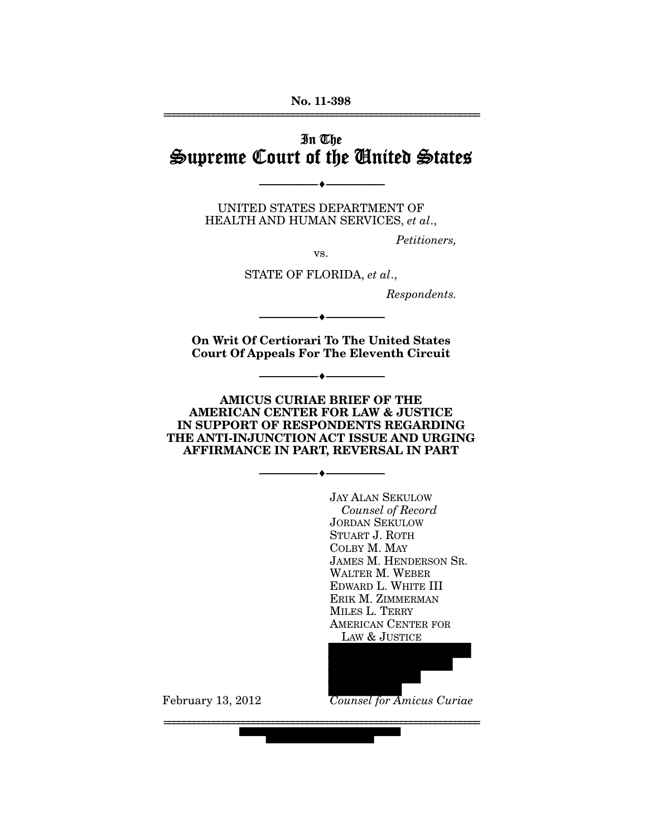### **No. 11-398**  ================================================================

# In The Supreme Court of the United States

UNITED STATES DEPARTMENT OF HEALTH AND HUMAN SERVICES, *et al*.,

--------------------------------- ♦ ---------------------------------

*Petitioners,* 

vs.

STATE OF FLORIDA, *et al*.,

*Respondents.* 

**On Writ Of Certiorari To The United States Court Of Appeals For The Eleventh Circuit** 

--------------------------------- ♦ ---------------------------------

--------------------------------- ♦ ---------------------------------

**AMICUS CURIAE BRIEF OF THE AMERICAN CENTER FOR LAW & JUSTICE IN SUPPORT OF RESPONDENTS REGARDING THE ANTI-INJUNCTION ACT ISSUE AND URGING AFFIRMANCE IN PART, REVERSAL IN PART** 

--------------------------------- ♦ ---------------------------------

================================================================

JAY ALAN SEKULOW  *Counsel of Record*  JORDAN SEKULOW STUART J. ROTH COLBY M. MAY JAMES M. HENDERSON SR. WALTER M. WEBER EDWARD L. WHITE III ERIK M. ZIMMERMAN MILES L. TERRY AMERICAN CENTER FOR LAW & JUSTICE

*Counsel for Amicus Curiae*

February 13, 2012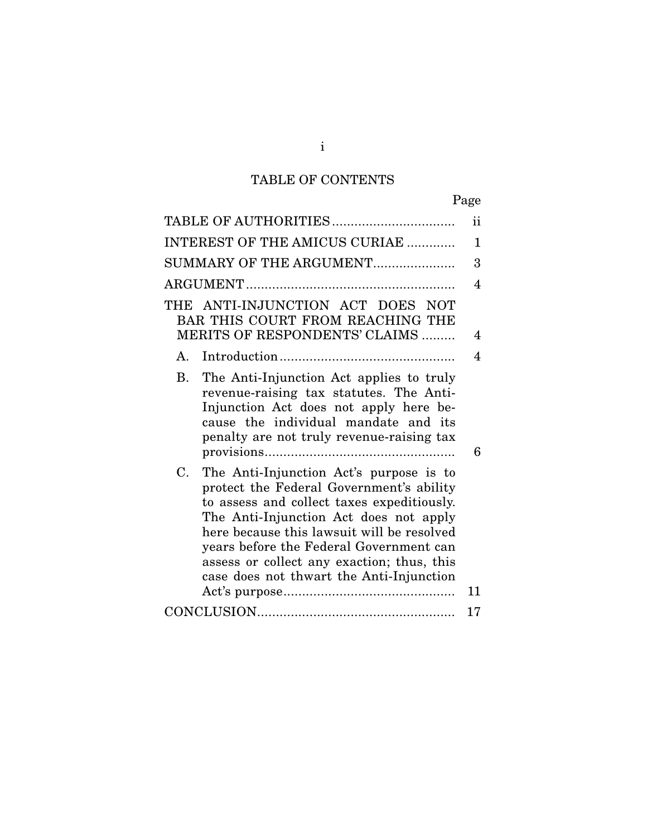# TABLE OF CONTENTS

|                                                                                                                                                                                                                                                                                                                                                                               | Page         |
|-------------------------------------------------------------------------------------------------------------------------------------------------------------------------------------------------------------------------------------------------------------------------------------------------------------------------------------------------------------------------------|--------------|
| TABLE OF AUTHORITIES                                                                                                                                                                                                                                                                                                                                                          | ii           |
| INTEREST OF THE AMICUS CURIAE                                                                                                                                                                                                                                                                                                                                                 | $\mathbf{1}$ |
| SUMMARY OF THE ARGUMENT                                                                                                                                                                                                                                                                                                                                                       | 3            |
|                                                                                                                                                                                                                                                                                                                                                                               | 4            |
| THE ANTI-INJUNCTION ACT DOES NOT<br>BAR THIS COURT FROM REACHING THE<br>MERITS OF RESPONDENTS' CLAIMS                                                                                                                                                                                                                                                                         | 4            |
| Introduction<br>$A_{\cdot}$                                                                                                                                                                                                                                                                                                                                                   | 4            |
| <b>B.</b><br>The Anti-Injunction Act applies to truly<br>revenue-raising tax statutes. The Anti-<br>Injunction Act does not apply here be-<br>cause the individual mandate and its<br>penalty are not truly revenue-raising tax                                                                                                                                               | 6            |
| $C_{\cdot}$<br>The Anti-Injunction Act's purpose is to<br>protect the Federal Government's ability<br>to assess and collect taxes expeditiously.<br>The Anti-Injunction Act does not apply<br>here because this lawsuit will be resolved<br>years before the Federal Government can<br>assess or collect any exaction; thus, this<br>case does not thwart the Anti-Injunction | 11           |
|                                                                                                                                                                                                                                                                                                                                                                               | 17           |
|                                                                                                                                                                                                                                                                                                                                                                               |              |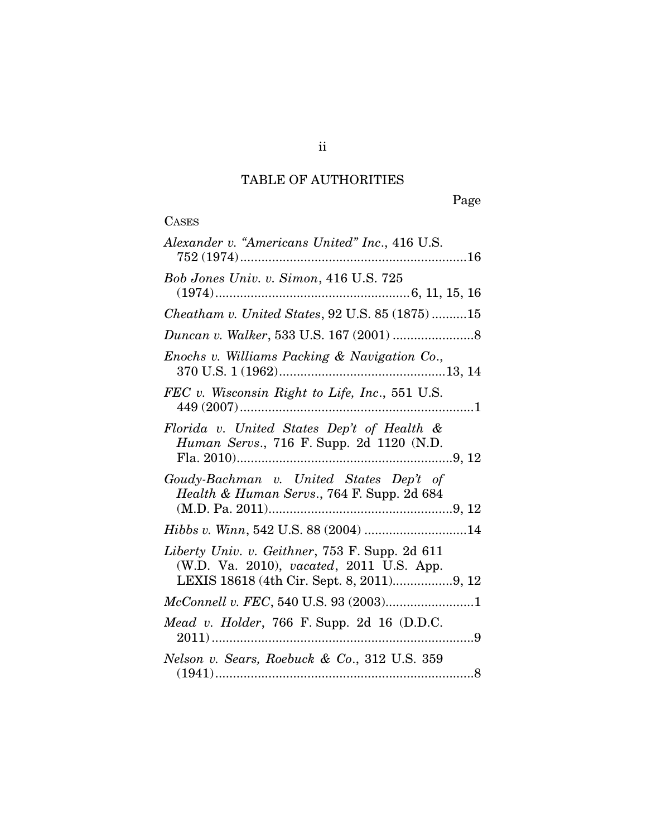# TABLE OF AUTHORITIES

CASES

Page

| Alexander v. "Americans United" Inc., 416 U.S.                                                                                          |
|-----------------------------------------------------------------------------------------------------------------------------------------|
| Bob Jones Univ. v. Simon, 416 U.S. 725                                                                                                  |
| Cheatham v. United States, 92 U.S. 85 (1875)15                                                                                          |
|                                                                                                                                         |
| Enochs v. Williams Packing & Navigation Co.,                                                                                            |
| FEC v. Wisconsin Right to Life, Inc., 551 U.S.                                                                                          |
| Florida v. United States Dep't of Health &<br>Human Servs., 716 F. Supp. 2d 1120 (N.D.                                                  |
| Goudy-Bachman v. United States Dep't of<br>Health & Human Servs., 764 F. Supp. 2d 684                                                   |
| Hibbs v. Winn, 542 U.S. 88 (2004) 14                                                                                                    |
| Liberty Univ. v. Geithner, 753 F. Supp. 2d 611<br>(W.D. Va. 2010), vacated, 2011 U.S. App.<br>LEXIS 18618 (4th Cir. Sept. 8, 2011)9, 12 |
|                                                                                                                                         |
| Mead v. Holder, 766 F. Supp. 2d 16 $(D.D.C.$                                                                                            |
| Nelson v. Sears, Roebuck & Co., 312 U.S. 359                                                                                            |

ii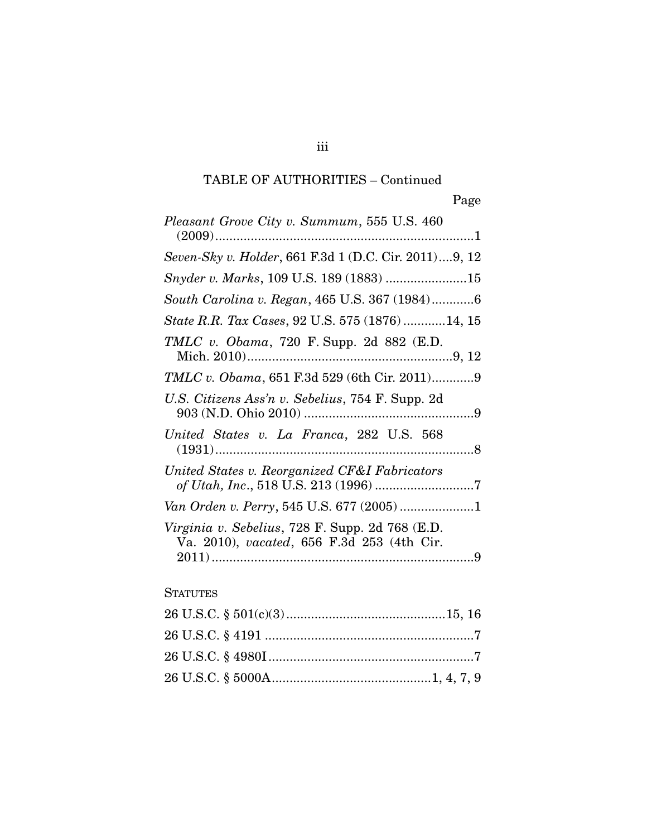# TABLE OF AUTHORITIES – Continued

| Pleasant Grove City v. Summum, 555 U.S. 460                                                   |
|-----------------------------------------------------------------------------------------------|
| Seven-Sky v. Holder, 661 F.3d 1 (D.C. Cir. 2011)9, 12                                         |
| Snyder v. Marks, 109 U.S. 189 (1883) 15                                                       |
| South Carolina v. Regan, 465 U.S. 367 (1984)6                                                 |
| State R.R. Tax Cases, 92 U.S. 575 (1876)14, 15                                                |
| TMLC v. Obama, 720 F. Supp. 2d 882 (E.D.                                                      |
| <i>TMLC v. Obama,</i> 651 F.3d 529 (6th Cir. 2011)9                                           |
| U.S. Citizens Ass'n v. Sebelius, 754 F. Supp. 2d                                              |
| United States v. La Franca, 282 U.S. 568                                                      |
| United States v. Reorganized CF&I Fabricators                                                 |
| Van Orden v. Perry, 545 U.S. 677 (2005)1                                                      |
| Virginia v. Sebelius, 728 F. Supp. 2d 768 (E.D.<br>Va. 2010), vacated, 656 F.3d 253 (4th Cir. |
| <b>STATUTES</b>                                                                               |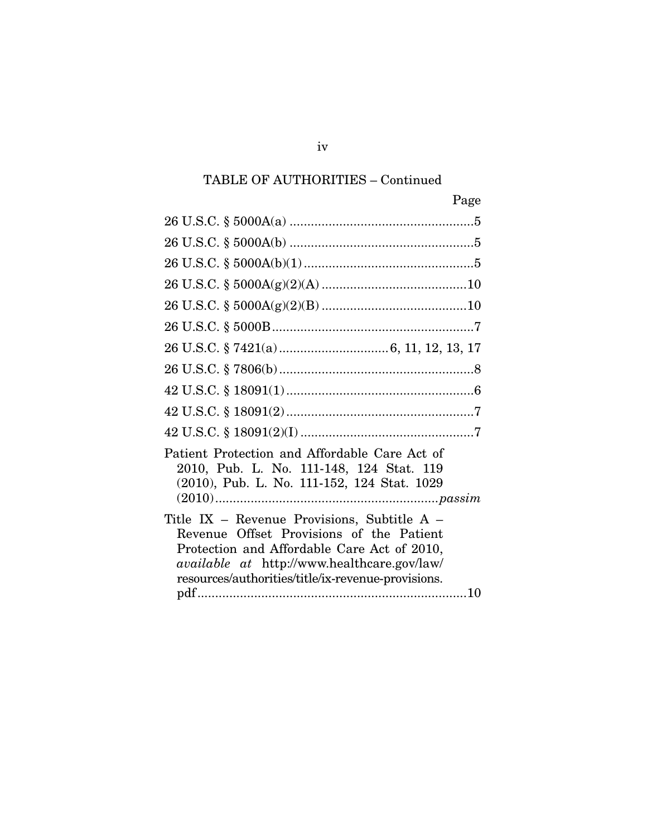# TABLE OF AUTHORITIES – Continued

| Page                                                                                                                                                                                                                                               |
|----------------------------------------------------------------------------------------------------------------------------------------------------------------------------------------------------------------------------------------------------|
|                                                                                                                                                                                                                                                    |
|                                                                                                                                                                                                                                                    |
|                                                                                                                                                                                                                                                    |
|                                                                                                                                                                                                                                                    |
|                                                                                                                                                                                                                                                    |
|                                                                                                                                                                                                                                                    |
|                                                                                                                                                                                                                                                    |
|                                                                                                                                                                                                                                                    |
|                                                                                                                                                                                                                                                    |
|                                                                                                                                                                                                                                                    |
|                                                                                                                                                                                                                                                    |
| Patient Protection and Affordable Care Act of<br>2010, Pub. L. No. 111-148, 124 Stat. 119<br>(2010), Pub. L. No. 111-152, 124 Stat. 1029                                                                                                           |
| Title IX – Revenue Provisions, Subtitle A –<br>Revenue Offset Provisions of the Patient<br>Protection and Affordable Care Act of 2010,<br><i>available at http://www.healthcare.gov/law/</i><br>resources/authorities/title/ix-revenue-provisions. |

iv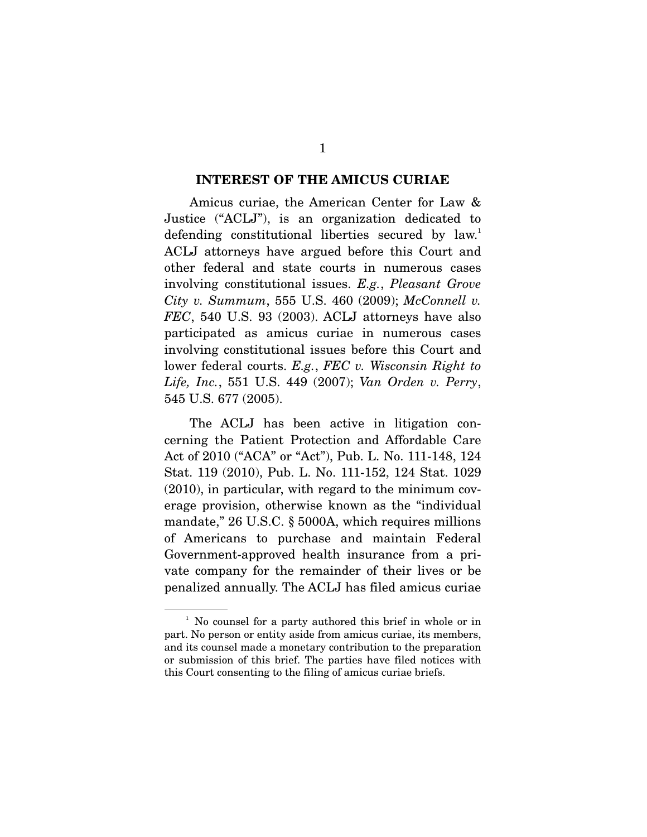#### **INTEREST OF THE AMICUS CURIAE**

 Amicus curiae, the American Center for Law & Justice ("ACLJ"), is an organization dedicated to defending constitutional liberties secured by law.<sup>1</sup> ACLJ attorneys have argued before this Court and other federal and state courts in numerous cases involving constitutional issues. *E.g.*, *Pleasant Grove City v. Summum*, 555 U.S. 460 (2009); *McConnell v. FEC*, 540 U.S. 93 (2003). ACLJ attorneys have also participated as amicus curiae in numerous cases involving constitutional issues before this Court and lower federal courts. *E.g.*, *FEC v. Wisconsin Right to Life, Inc.*, 551 U.S. 449 (2007); *Van Orden v. Perry*, 545 U.S. 677 (2005).

 The ACLJ has been active in litigation concerning the Patient Protection and Affordable Care Act of 2010 ("ACA" or "Act"), Pub. L. No. 111-148, 124 Stat. 119 (2010), Pub. L. No. 111-152, 124 Stat. 1029 (2010), in particular, with regard to the minimum coverage provision, otherwise known as the "individual mandate," 26 U.S.C. § 5000A, which requires millions of Americans to purchase and maintain Federal Government-approved health insurance from a private company for the remainder of their lives or be penalized annually. The ACLJ has filed amicus curiae

<sup>&</sup>lt;sup>1</sup> No counsel for a party authored this brief in whole or in part. No person or entity aside from amicus curiae, its members, and its counsel made a monetary contribution to the preparation or submission of this brief. The parties have filed notices with this Court consenting to the filing of amicus curiae briefs.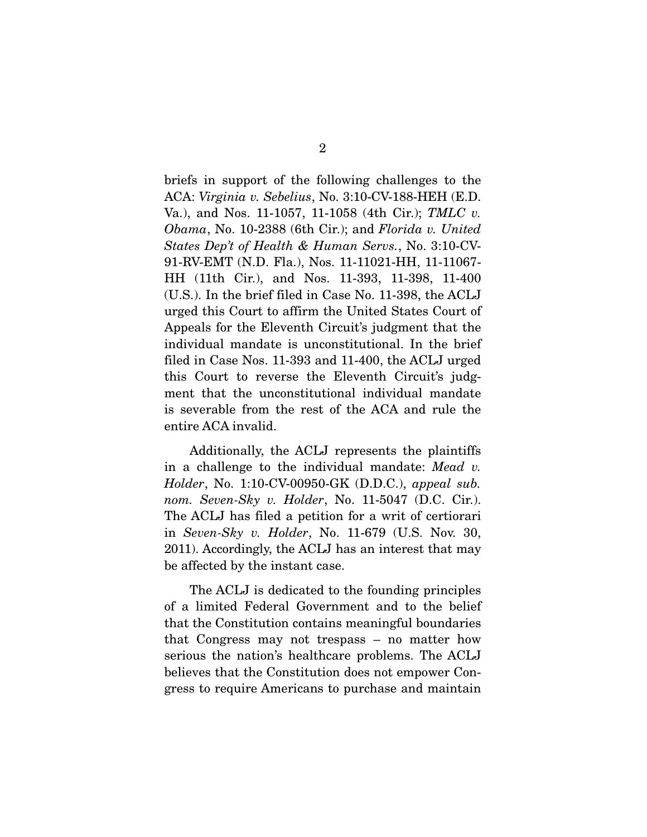briefs in support of the following challenges to the ACA: *Virginia v. Sebelius*, No. 3:10-CV-188-HEH (E.D. Va.), and Nos. 11-1057, 11-1058 (4th Cir.); *TMLC v. Obama*, No. 10-2388 (6th Cir.); and *Florida v. United States Dep't of Health & Human Servs.*, No. 3:10-CV-91-RV-EMT (N.D. Fla.), Nos. 11-11021-HH, 11-11067- HH (11th Cir.), and Nos. 11-393, 11-398, 11-400 (U.S.). In the brief filed in Case No. 11-398, the ACLJ urged this Court to affirm the United States Court of Appeals for the Eleventh Circuit's judgment that the individual mandate is unconstitutional. In the brief filed in Case Nos. 11-393 and 11-400, the ACLJ urged this Court to reverse the Eleventh Circuit's judgment that the unconstitutional individual mandate is severable from the rest of the ACA and rule the entire ACA invalid.

 Additionally, the ACLJ represents the plaintiffs in a challenge to the individual mandate: *Mead v. Holder*, No. 1:10-CV-00950-GK (D.D.C.), *appeal sub. nom. Seven-Sky v. Holder*, No. 11-5047 (D.C. Cir.). The ACLJ has filed a petition for a writ of certiorari in *Seven-Sky v. Holder*, No. 11-679 (U.S. Nov. 30, 2011). Accordingly, the ACLJ has an interest that may be affected by the instant case.

 The ACLJ is dedicated to the founding principles of a limited Federal Government and to the belief that the Constitution contains meaningful boundaries that Congress may not trespass – no matter how serious the nation's healthcare problems. The ACLJ believes that the Constitution does not empower Congress to require Americans to purchase and maintain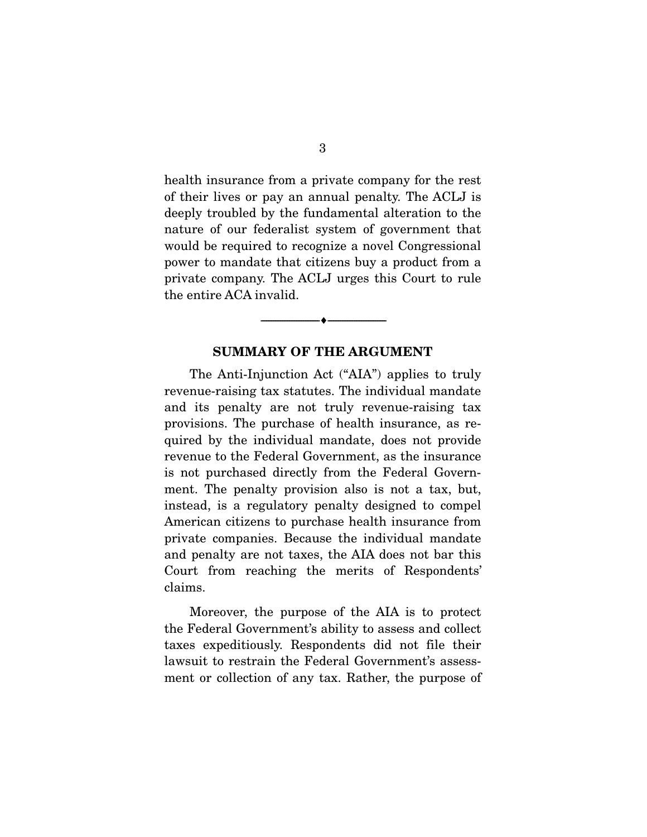health insurance from a private company for the rest of their lives or pay an annual penalty. The ACLJ is deeply troubled by the fundamental alteration to the nature of our federalist system of government that would be required to recognize a novel Congressional power to mandate that citizens buy a product from a private company. The ACLJ urges this Court to rule the entire ACA invalid.

## **SUMMARY OF THE ARGUMENT**

--------------------------------- ♦ ---------------------------------

 The Anti-Injunction Act ("AIA") applies to truly revenue-raising tax statutes. The individual mandate and its penalty are not truly revenue-raising tax provisions. The purchase of health insurance, as required by the individual mandate, does not provide revenue to the Federal Government, as the insurance is not purchased directly from the Federal Government. The penalty provision also is not a tax, but, instead, is a regulatory penalty designed to compel American citizens to purchase health insurance from private companies. Because the individual mandate and penalty are not taxes, the AIA does not bar this Court from reaching the merits of Respondents' claims.

 Moreover, the purpose of the AIA is to protect the Federal Government's ability to assess and collect taxes expeditiously. Respondents did not file their lawsuit to restrain the Federal Government's assessment or collection of any tax. Rather, the purpose of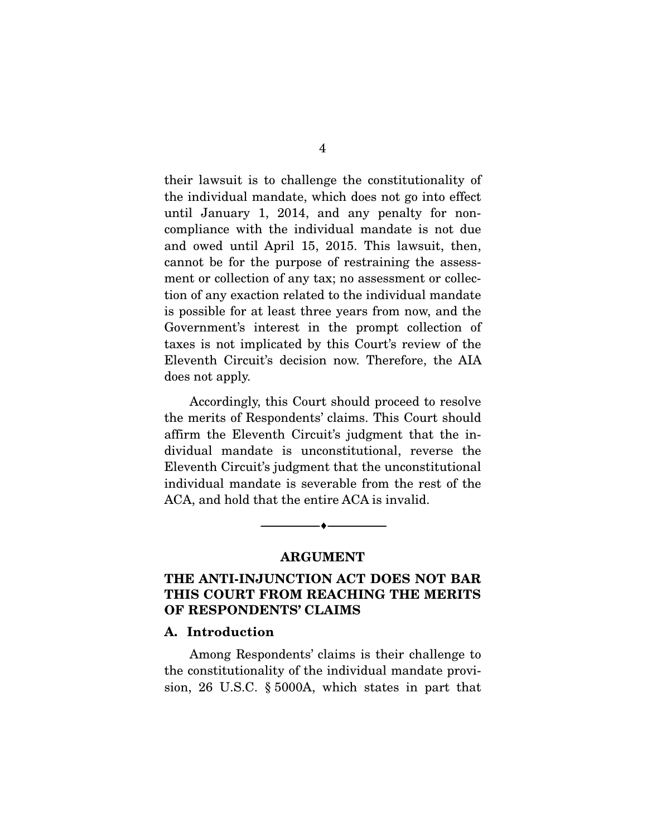their lawsuit is to challenge the constitutionality of the individual mandate, which does not go into effect until January 1, 2014, and any penalty for noncompliance with the individual mandate is not due and owed until April 15, 2015. This lawsuit, then, cannot be for the purpose of restraining the assessment or collection of any tax; no assessment or collection of any exaction related to the individual mandate is possible for at least three years from now, and the Government's interest in the prompt collection of taxes is not implicated by this Court's review of the Eleventh Circuit's decision now. Therefore, the AIA does not apply.

 Accordingly, this Court should proceed to resolve the merits of Respondents' claims. This Court should affirm the Eleventh Circuit's judgment that the individual mandate is unconstitutional, reverse the Eleventh Circuit's judgment that the unconstitutional individual mandate is severable from the rest of the ACA, and hold that the entire ACA is invalid.

#### **ARGUMENT**

--------------------------------- ♦ ---------------------------------

## **THE ANTI-INJUNCTION ACT DOES NOT BAR THIS COURT FROM REACHING THE MERITS OF RESPONDENTS' CLAIMS**

### **A. Introduction**

 Among Respondents' claims is their challenge to the constitutionality of the individual mandate provision, 26 U.S.C. § 5000A, which states in part that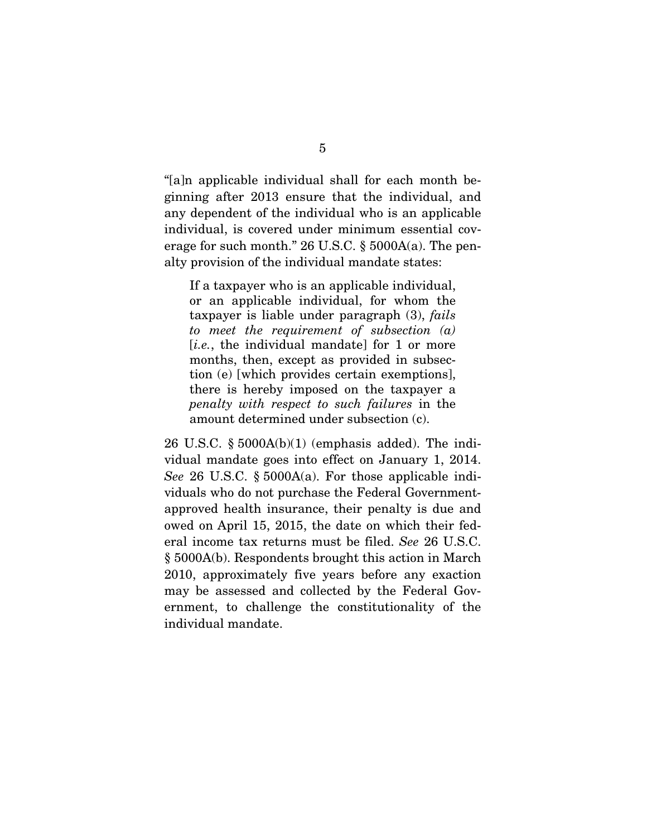"[a]n applicable individual shall for each month beginning after 2013 ensure that the individual, and any dependent of the individual who is an applicable individual, is covered under minimum essential coverage for such month." 26 U.S.C. § 5000A(a). The penalty provision of the individual mandate states:

If a taxpayer who is an applicable individual, or an applicable individual, for whom the taxpayer is liable under paragraph (3), *fails to meet the requirement of subsection (a)* [*i.e.*, the individual mandate] for 1 or more months, then, except as provided in subsection (e) [which provides certain exemptions], there is hereby imposed on the taxpayer a *penalty with respect to such failures* in the amount determined under subsection (c).

26 U.S.C.  $\S 5000A(b)(1)$  (emphasis added). The individual mandate goes into effect on January 1, 2014. *See* 26 U.S.C. § 5000A(a). For those applicable individuals who do not purchase the Federal Governmentapproved health insurance, their penalty is due and owed on April 15, 2015, the date on which their federal income tax returns must be filed. *See* 26 U.S.C. § 5000A(b). Respondents brought this action in March 2010, approximately five years before any exaction may be assessed and collected by the Federal Government, to challenge the constitutionality of the individual mandate.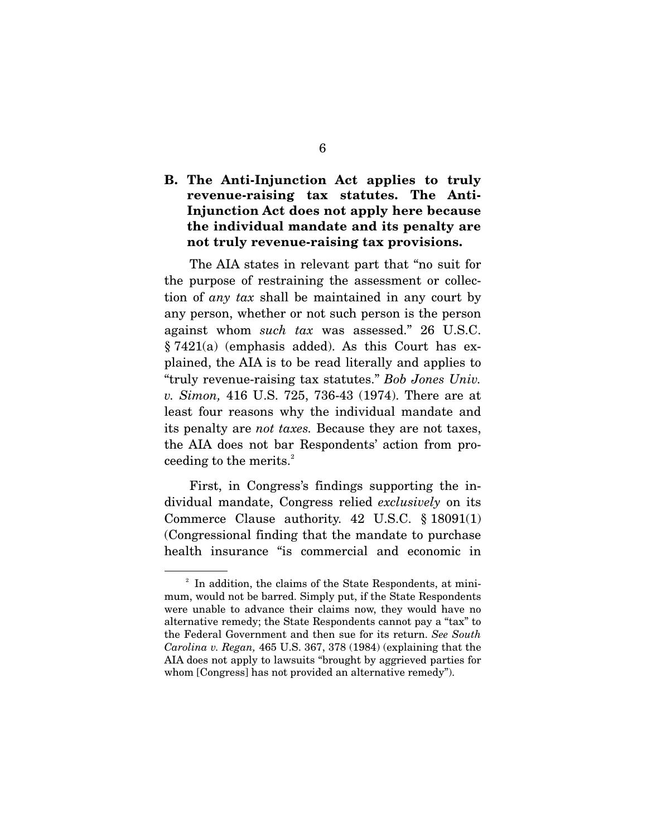## **B. The Anti-Injunction Act applies to truly revenue-raising tax statutes. The Anti-Injunction Act does not apply here because the individual mandate and its penalty are not truly revenue-raising tax provisions.**

 The AIA states in relevant part that "no suit for the purpose of restraining the assessment or collection of *any tax* shall be maintained in any court by any person, whether or not such person is the person against whom *such tax* was assessed." 26 U.S.C. § 7421(a) (emphasis added). As this Court has explained, the AIA is to be read literally and applies to "truly revenue-raising tax statutes." *Bob Jones Univ. v. Simon,* 416 U.S. 725, 736-43 (1974). There are at least four reasons why the individual mandate and its penalty are *not taxes.* Because they are not taxes, the AIA does not bar Respondents' action from proceeding to the merits.<sup>2</sup>

 First, in Congress's findings supporting the individual mandate, Congress relied *exclusively* on its Commerce Clause authority. 42 U.S.C. § 18091(1) (Congressional finding that the mandate to purchase health insurance "is commercial and economic in

<sup>&</sup>lt;sup>2</sup> In addition, the claims of the State Respondents, at minimum, would not be barred. Simply put, if the State Respondents were unable to advance their claims now, they would have no alternative remedy; the State Respondents cannot pay a "tax" to the Federal Government and then sue for its return. *See South Carolina v. Regan,* 465 U.S. 367, 378 (1984) (explaining that the AIA does not apply to lawsuits "brought by aggrieved parties for whom [Congress] has not provided an alternative remedy").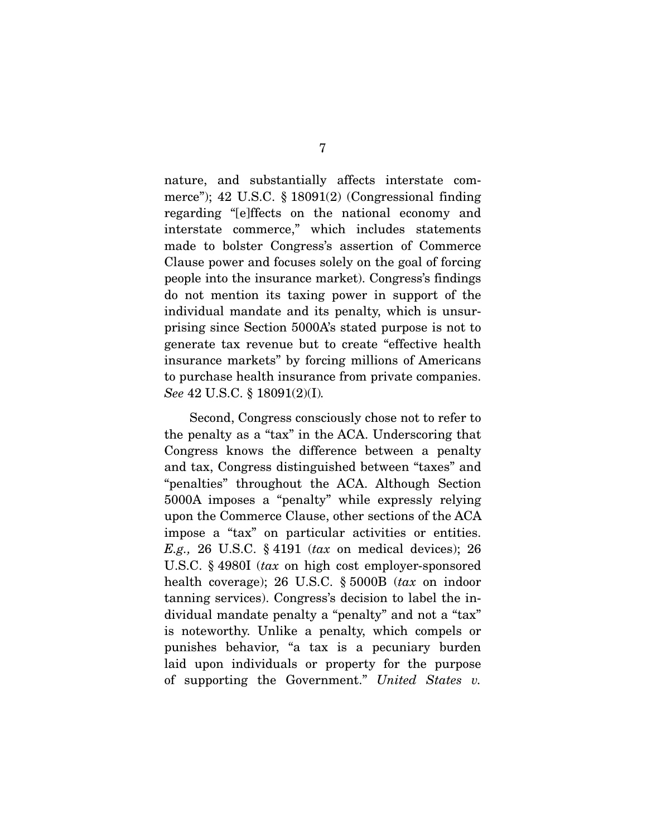nature, and substantially affects interstate commerce"); 42 U.S.C. § 18091(2) (Congressional finding regarding "[e]ffects on the national economy and interstate commerce," which includes statements made to bolster Congress's assertion of Commerce Clause power and focuses solely on the goal of forcing people into the insurance market). Congress's findings do not mention its taxing power in support of the individual mandate and its penalty, which is unsurprising since Section 5000A's stated purpose is not to generate tax revenue but to create "effective health insurance markets" by forcing millions of Americans to purchase health insurance from private companies. *See* 42 U.S.C. § 18091(2)(I)*.*

 Second, Congress consciously chose not to refer to the penalty as a "tax" in the ACA. Underscoring that Congress knows the difference between a penalty and tax, Congress distinguished between "taxes" and "penalties" throughout the ACA. Although Section 5000A imposes a "penalty" while expressly relying upon the Commerce Clause, other sections of the ACA impose a "tax" on particular activities or entities. *E.g.,* 26 U.S.C. § 4191 (*tax* on medical devices); 26 U.S.C. § 4980I (*tax* on high cost employer-sponsored health coverage); 26 U.S.C. § 5000B (*tax* on indoor tanning services). Congress's decision to label the individual mandate penalty a "penalty" and not a "tax" is noteworthy. Unlike a penalty, which compels or punishes behavior, "a tax is a pecuniary burden laid upon individuals or property for the purpose of supporting the Government." *United States v.*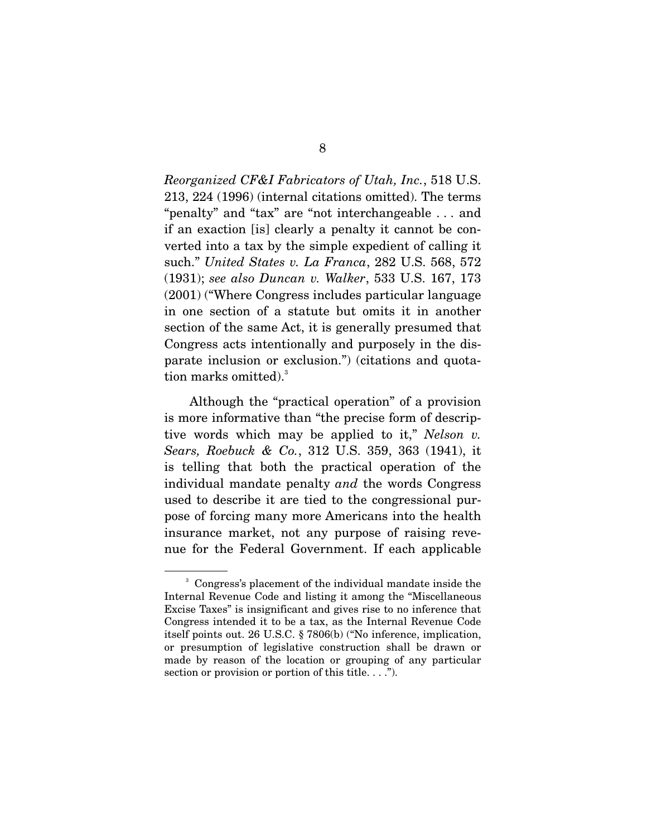*Reorganized CF&I Fabricators of Utah, Inc.*, 518 U.S. 213, 224 (1996) (internal citations omitted). The terms "penalty" and "tax" are "not interchangeable . . . and if an exaction [is] clearly a penalty it cannot be converted into a tax by the simple expedient of calling it such." *United States v. La Franca*, 282 U.S. 568, 572 (1931); *see also Duncan v. Walker*, 533 U.S. 167, 173 (2001) ("Where Congress includes particular language in one section of a statute but omits it in another section of the same Act, it is generally presumed that Congress acts intentionally and purposely in the disparate inclusion or exclusion.") (citations and quotation marks omitted).<sup>3</sup>

 Although the "practical operation" of a provision is more informative than "the precise form of descriptive words which may be applied to it," *Nelson v. Sears, Roebuck & Co.*, 312 U.S. 359, 363 (1941), it is telling that both the practical operation of the individual mandate penalty *and* the words Congress used to describe it are tied to the congressional purpose of forcing many more Americans into the health insurance market, not any purpose of raising revenue for the Federal Government. If each applicable

<sup>3</sup> Congress's placement of the individual mandate inside the Internal Revenue Code and listing it among the "Miscellaneous Excise Taxes" is insignificant and gives rise to no inference that Congress intended it to be a tax, as the Internal Revenue Code itself points out. 26 U.S.C. § 7806(b) ("No inference, implication, or presumption of legislative construction shall be drawn or made by reason of the location or grouping of any particular section or provision or portion of this title. . . .").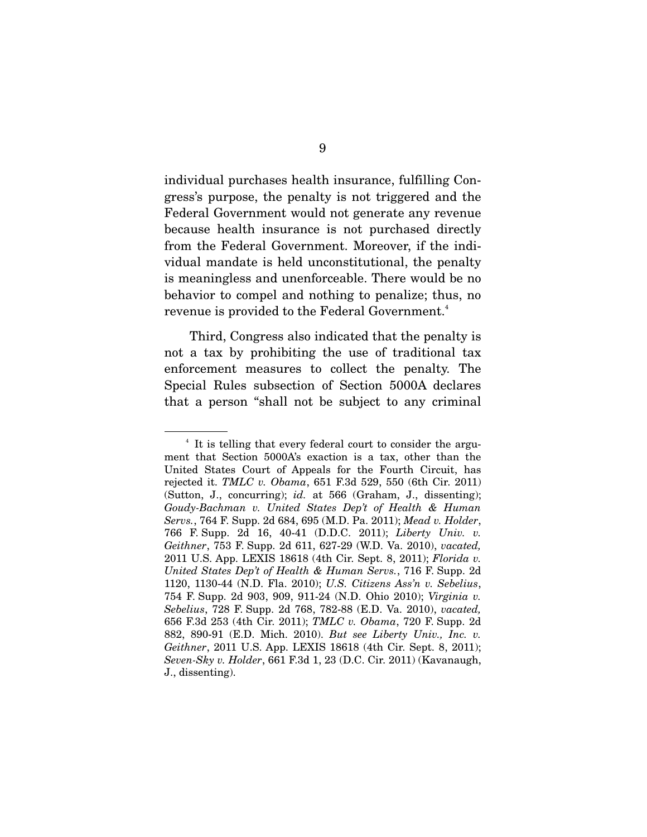individual purchases health insurance, fulfilling Congress's purpose, the penalty is not triggered and the Federal Government would not generate any revenue because health insurance is not purchased directly from the Federal Government. Moreover, if the individual mandate is held unconstitutional, the penalty is meaningless and unenforceable. There would be no behavior to compel and nothing to penalize; thus, no revenue is provided to the Federal Government.<sup>4</sup>

 Third, Congress also indicated that the penalty is not a tax by prohibiting the use of traditional tax enforcement measures to collect the penalty. The Special Rules subsection of Section 5000A declares that a person "shall not be subject to any criminal

<sup>4</sup> It is telling that every federal court to consider the argument that Section 5000A's exaction is a tax, other than the United States Court of Appeals for the Fourth Circuit, has rejected it. *TMLC v. Obama*, 651 F.3d 529, 550 (6th Cir. 2011) (Sutton, J., concurring); *id.* at 566 (Graham, J., dissenting); *Goudy-Bachman v. United States Dep't of Health & Human Servs.*, 764 F. Supp. 2d 684, 695 (M.D. Pa. 2011); *Mead v. Holder*, 766 F. Supp. 2d 16, 40-41 (D.D.C. 2011); *Liberty Univ. v. Geithner*, 753 F. Supp. 2d 611, 627-29 (W.D. Va. 2010), *vacated,*  2011 U.S. App. LEXIS 18618 (4th Cir. Sept. 8, 2011); *Florida v. United States Dep't of Health & Human Servs.*, 716 F. Supp. 2d 1120, 1130-44 (N.D. Fla. 2010); *U.S. Citizens Ass'n v. Sebelius*, 754 F. Supp. 2d 903, 909, 911-24 (N.D. Ohio 2010); *Virginia v. Sebelius*, 728 F. Supp. 2d 768, 782-88 (E.D. Va. 2010), *vacated,*  656 F.3d 253 (4th Cir. 2011); *TMLC v. Obama*, 720 F. Supp. 2d 882, 890-91 (E.D. Mich. 2010). *But see Liberty Univ., Inc. v. Geithner*, 2011 U.S. App. LEXIS 18618 (4th Cir. Sept. 8, 2011); *Seven-Sky v. Holder*, 661 F.3d 1, 23 (D.C. Cir. 2011) (Kavanaugh, J., dissenting).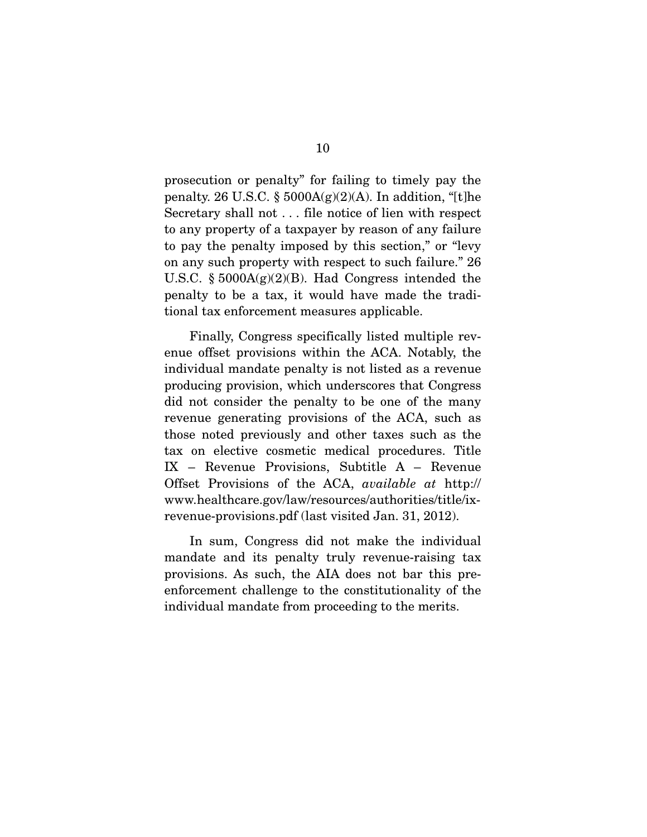prosecution or penalty" for failing to timely pay the penalty. 26 U.S.C. §  $5000A(g)(2)(A)$ . In addition, "[t]he Secretary shall not . . . file notice of lien with respect to any property of a taxpayer by reason of any failure to pay the penalty imposed by this section," or "levy on any such property with respect to such failure." 26 U.S.C. § 5000A(g)(2)(B). Had Congress intended the penalty to be a tax, it would have made the traditional tax enforcement measures applicable.

 Finally, Congress specifically listed multiple revenue offset provisions within the ACA. Notably, the individual mandate penalty is not listed as a revenue producing provision, which underscores that Congress did not consider the penalty to be one of the many revenue generating provisions of the ACA, such as those noted previously and other taxes such as the tax on elective cosmetic medical procedures. Title IX – Revenue Provisions, Subtitle A – Revenue Offset Provisions of the ACA, *available at* http:// www.healthcare.gov/law/resources/authorities/title/ixrevenue-provisions.pdf (last visited Jan. 31, 2012).

 In sum, Congress did not make the individual mandate and its penalty truly revenue-raising tax provisions. As such, the AIA does not bar this preenforcement challenge to the constitutionality of the individual mandate from proceeding to the merits.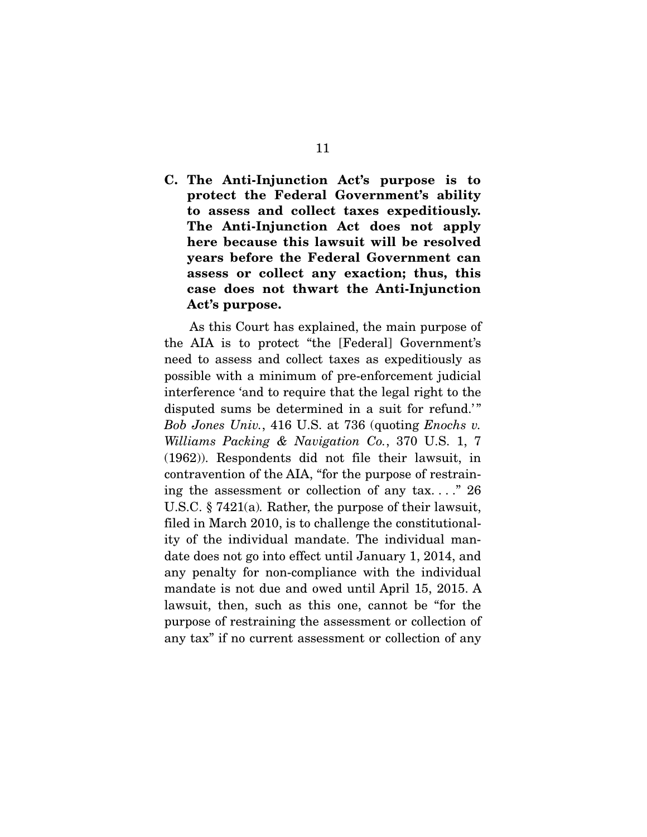**C. The Anti-Injunction Act's purpose is to protect the Federal Government's ability to assess and collect taxes expeditiously. The Anti-Injunction Act does not apply here because this lawsuit will be resolved years before the Federal Government can assess or collect any exaction; thus, this case does not thwart the Anti-Injunction Act's purpose.** 

 As this Court has explained, the main purpose of the AIA is to protect "the [Federal] Government's need to assess and collect taxes as expeditiously as possible with a minimum of pre-enforcement judicial interference 'and to require that the legal right to the disputed sums be determined in a suit for refund.'" *Bob Jones Univ.*, 416 U.S. at 736 (quoting *Enochs v. Williams Packing & Navigation Co.*, 370 U.S. 1, 7 (1962)). Respondents did not file their lawsuit, in contravention of the AIA, "for the purpose of restraining the assessment or collection of any tax...." 26 U.S.C. § 7421(a)*.* Rather, the purpose of their lawsuit, filed in March 2010, is to challenge the constitutionality of the individual mandate. The individual mandate does not go into effect until January 1, 2014, and any penalty for non-compliance with the individual mandate is not due and owed until April 15, 2015. A lawsuit, then, such as this one, cannot be "for the purpose of restraining the assessment or collection of any tax" if no current assessment or collection of any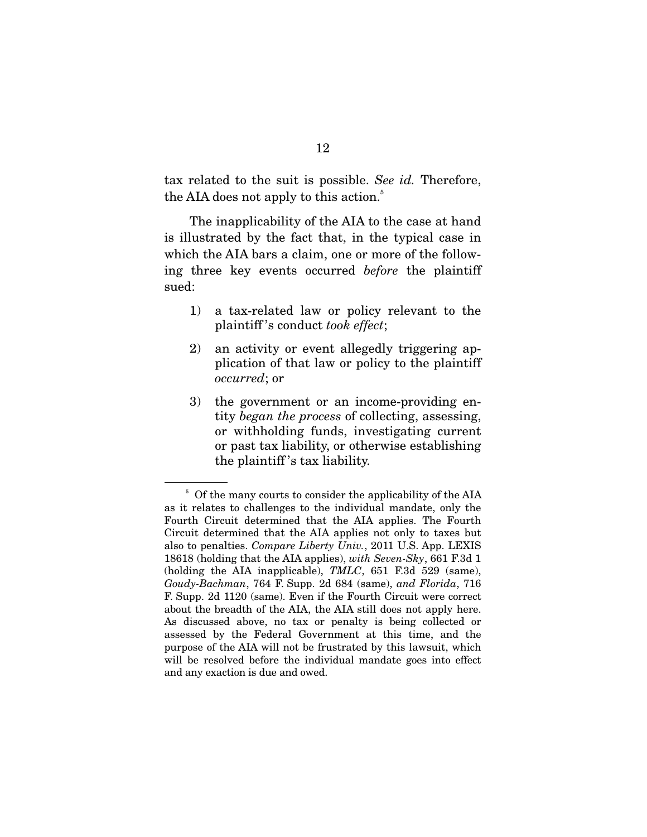tax related to the suit is possible. *See id.* Therefore, the AIA does not apply to this action.<sup>5</sup>

 The inapplicability of the AIA to the case at hand is illustrated by the fact that, in the typical case in which the AIA bars a claim, one or more of the following three key events occurred *before* the plaintiff sued:

- 1) a tax-related law or policy relevant to the plaintiff 's conduct *took effect*;
- 2) an activity or event allegedly triggering application of that law or policy to the plaintiff *occurred*; or
- 3) the government or an income-providing entity *began the process* of collecting, assessing, or withholding funds, investigating current or past tax liability, or otherwise establishing the plaintiff 's tax liability.

<sup>&</sup>lt;sup>5</sup> Of the many courts to consider the applicability of the AIA as it relates to challenges to the individual mandate, only the Fourth Circuit determined that the AIA applies. The Fourth Circuit determined that the AIA applies not only to taxes but also to penalties. *Compare Liberty Univ.*, 2011 U.S. App. LEXIS 18618 (holding that the AIA applies), *with Seven-Sky*, 661 F.3d 1 (holding the AIA inapplicable), *TMLC*, 651 F.3d 529 (same), *Goudy-Bachman*, 764 F. Supp. 2d 684 (same), *and Florida*, 716 F. Supp. 2d 1120 (same). Even if the Fourth Circuit were correct about the breadth of the AIA, the AIA still does not apply here. As discussed above, no tax or penalty is being collected or assessed by the Federal Government at this time, and the purpose of the AIA will not be frustrated by this lawsuit, which will be resolved before the individual mandate goes into effect and any exaction is due and owed.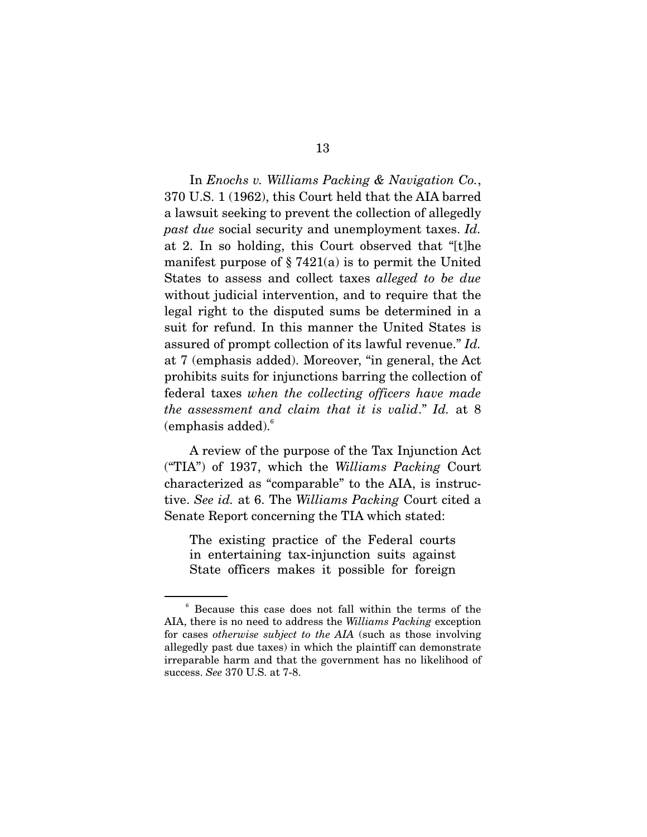In *Enochs v. Williams Packing & Navigation Co.*, 370 U.S. 1 (1962), this Court held that the AIA barred a lawsuit seeking to prevent the collection of allegedly *past due* social security and unemployment taxes. *Id.* at 2. In so holding, this Court observed that "[t]he manifest purpose of  $\S 7421(a)$  is to permit the United States to assess and collect taxes *alleged to be due* without judicial intervention, and to require that the legal right to the disputed sums be determined in a suit for refund. In this manner the United States is assured of prompt collection of its lawful revenue." *Id.* at 7 (emphasis added). Moreover, "in general, the Act prohibits suits for injunctions barring the collection of federal taxes *when the collecting officers have made the assessment and claim that it is valid*." *Id.* at 8  $(emphasis added).<sup>6</sup>$ 

 A review of the purpose of the Tax Injunction Act ("TIA") of 1937, which the *Williams Packing* Court characterized as "comparable" to the AIA, is instructive. *See id.* at 6. The *Williams Packing* Court cited a Senate Report concerning the TIA which stated:

The existing practice of the Federal courts in entertaining tax-injunction suits against State officers makes it possible for foreign

<sup>6</sup> Because this case does not fall within the terms of the AIA, there is no need to address the *Williams Packing* exception for cases *otherwise subject to the AIA* (such as those involving allegedly past due taxes) in which the plaintiff can demonstrate irreparable harm and that the government has no likelihood of success. *See* 370 U.S. at 7-8.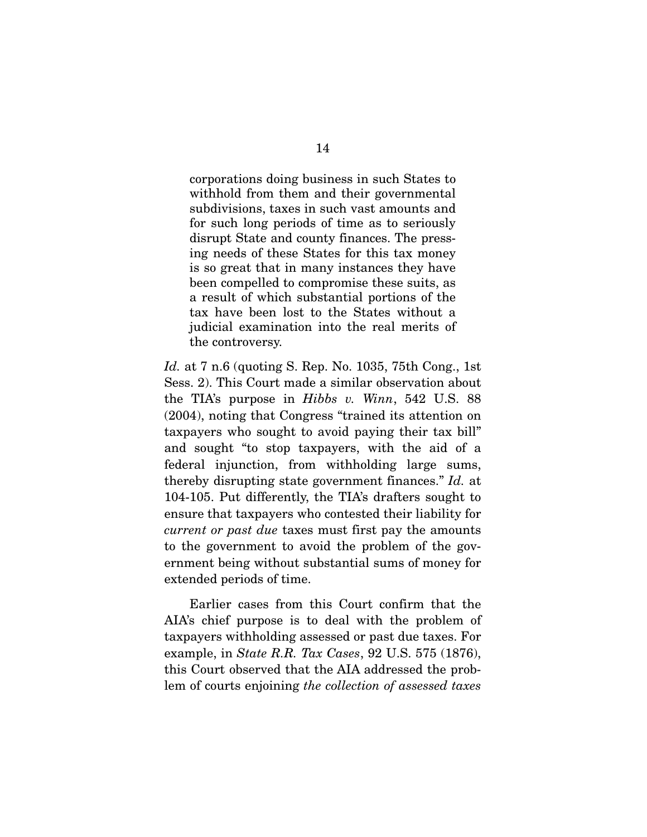corporations doing business in such States to withhold from them and their governmental subdivisions, taxes in such vast amounts and for such long periods of time as to seriously disrupt State and county finances. The pressing needs of these States for this tax money is so great that in many instances they have been compelled to compromise these suits, as a result of which substantial portions of the tax have been lost to the States without a judicial examination into the real merits of the controversy.

*Id.* at 7 n.6 (quoting S. Rep. No. 1035, 75th Cong., 1st Sess. 2). This Court made a similar observation about the TIA's purpose in *Hibbs v. Winn*, 542 U.S. 88 (2004), noting that Congress "trained its attention on taxpayers who sought to avoid paying their tax bill" and sought "to stop taxpayers, with the aid of a federal injunction, from withholding large sums, thereby disrupting state government finances." *Id.* at 104-105. Put differently, the TIA's drafters sought to ensure that taxpayers who contested their liability for *current or past due* taxes must first pay the amounts to the government to avoid the problem of the government being without substantial sums of money for extended periods of time.

 Earlier cases from this Court confirm that the AIA's chief purpose is to deal with the problem of taxpayers withholding assessed or past due taxes. For example, in *State R.R. Tax Cases*, 92 U.S. 575 (1876), this Court observed that the AIA addressed the problem of courts enjoining *the collection of assessed taxes*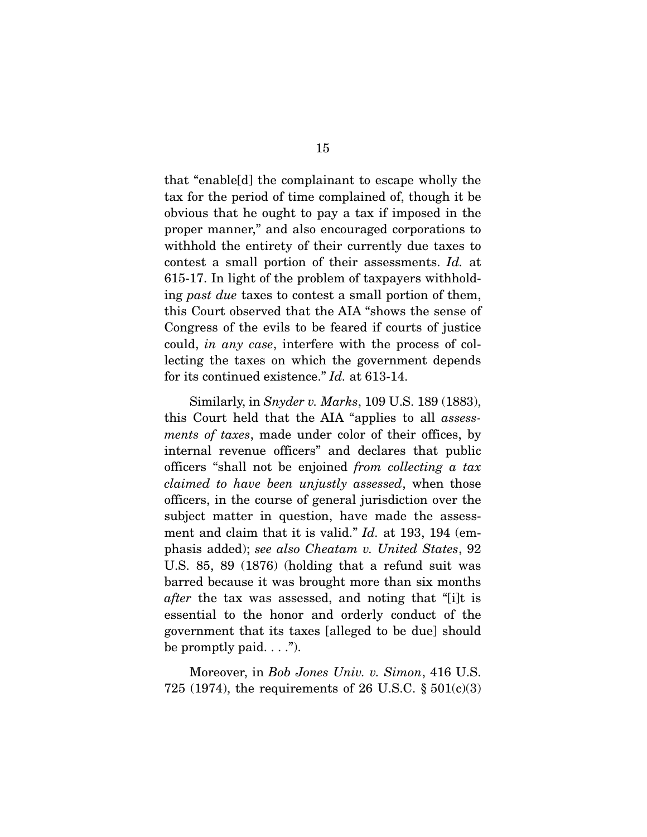that "enable[d] the complainant to escape wholly the tax for the period of time complained of, though it be obvious that he ought to pay a tax if imposed in the proper manner," and also encouraged corporations to withhold the entirety of their currently due taxes to contest a small portion of their assessments. *Id.* at 615-17. In light of the problem of taxpayers withholding *past due* taxes to contest a small portion of them, this Court observed that the AIA "shows the sense of Congress of the evils to be feared if courts of justice could, *in any case*, interfere with the process of collecting the taxes on which the government depends for its continued existence." *Id.* at 613-14.

 Similarly, in *Snyder v. Marks*, 109 U.S. 189 (1883), this Court held that the AIA "applies to all *assessments of taxes*, made under color of their offices, by internal revenue officers" and declares that public officers "shall not be enjoined *from collecting a tax claimed to have been unjustly assessed*, when those officers, in the course of general jurisdiction over the subject matter in question, have made the assessment and claim that it is valid." *Id.* at 193, 194 (emphasis added); *see also Cheatam v. United States*, 92 U.S. 85, 89 (1876) (holding that a refund suit was barred because it was brought more than six months *after* the tax was assessed, and noting that "[i]t is essential to the honor and orderly conduct of the government that its taxes [alleged to be due] should be promptly paid.  $\dots$ ").

 Moreover, in *Bob Jones Univ. v. Simon*, 416 U.S. 725 (1974), the requirements of 26 U.S.C.  $\S 501(c)(3)$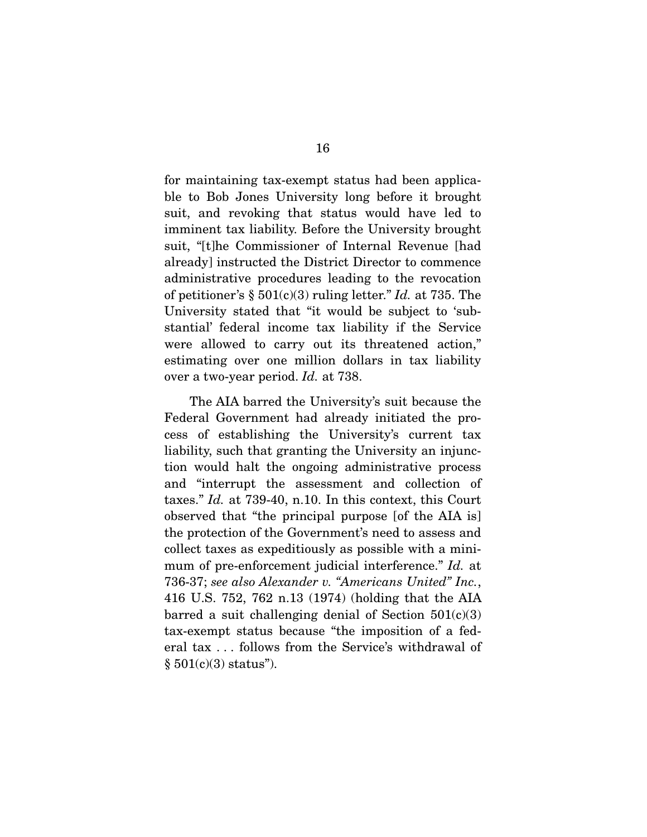for maintaining tax-exempt status had been applicable to Bob Jones University long before it brought suit, and revoking that status would have led to imminent tax liability. Before the University brought suit, "[t]he Commissioner of Internal Revenue [had already] instructed the District Director to commence administrative procedures leading to the revocation of petitioner's § 501(c)(3) ruling letter." *Id.* at 735. The University stated that "it would be subject to 'substantial' federal income tax liability if the Service were allowed to carry out its threatened action," estimating over one million dollars in tax liability over a two-year period. *Id.* at 738.

 The AIA barred the University's suit because the Federal Government had already initiated the process of establishing the University's current tax liability, such that granting the University an injunction would halt the ongoing administrative process and "interrupt the assessment and collection of taxes." *Id.* at 739-40, n.10. In this context, this Court observed that "the principal purpose [of the AIA is] the protection of the Government's need to assess and collect taxes as expeditiously as possible with a minimum of pre-enforcement judicial interference." *Id.* at 736-37; *see also Alexander v. "Americans United" Inc.*, 416 U.S. 752, 762 n.13 (1974) (holding that the AIA barred a suit challenging denial of Section  $501(c)(3)$ tax-exempt status because "the imposition of a federal tax . . . follows from the Service's withdrawal of  $§ 501(c)(3)$  status").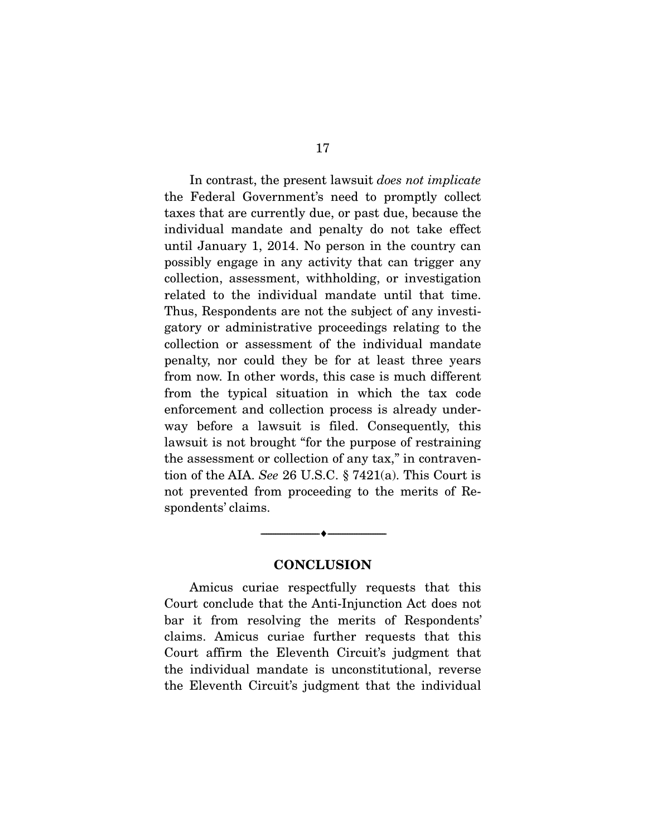In contrast, the present lawsuit *does not implicate* the Federal Government's need to promptly collect taxes that are currently due, or past due, because the individual mandate and penalty do not take effect until January 1, 2014. No person in the country can possibly engage in any activity that can trigger any collection, assessment, withholding, or investigation related to the individual mandate until that time. Thus, Respondents are not the subject of any investigatory or administrative proceedings relating to the collection or assessment of the individual mandate penalty, nor could they be for at least three years from now. In other words, this case is much different from the typical situation in which the tax code enforcement and collection process is already underway before a lawsuit is filed. Consequently, this lawsuit is not brought "for the purpose of restraining the assessment or collection of any tax," in contravention of the AIA. *See* 26 U.S.C. § 7421(a). This Court is not prevented from proceeding to the merits of Respondents' claims.

## **CONCLUSION**

--------------------------------- ♦ ---------------------------------

 Amicus curiae respectfully requests that this Court conclude that the Anti-Injunction Act does not bar it from resolving the merits of Respondents' claims. Amicus curiae further requests that this Court affirm the Eleventh Circuit's judgment that the individual mandate is unconstitutional, reverse the Eleventh Circuit's judgment that the individual